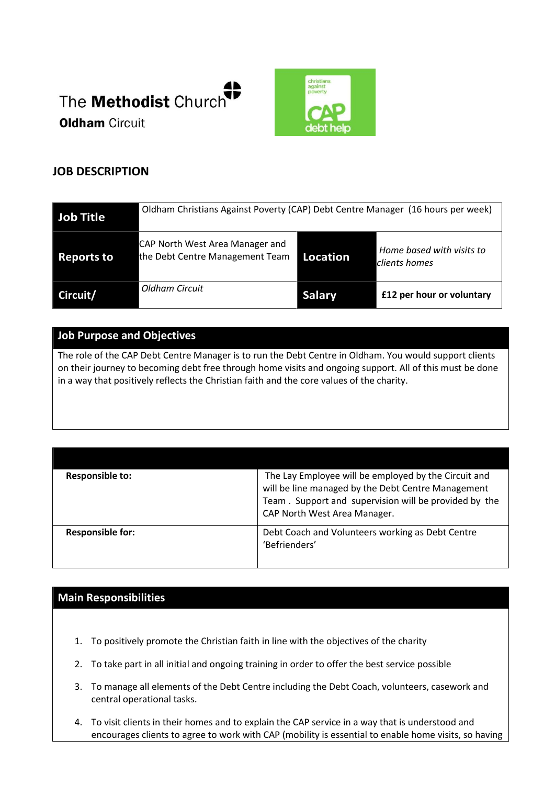



# **JOB DESCRIPTION**

| <b>Job Title</b>  | Oldham Christians Against Poverty (CAP) Debt Centre Manager (16 hours per week) |                 |                                            |
|-------------------|---------------------------------------------------------------------------------|-----------------|--------------------------------------------|
| <b>Reports to</b> | CAP North West Area Manager and<br>the Debt Centre Management Team              | <b>Location</b> | Home based with visits to<br>clients homes |
| Circuit/          | Oldham Circuit                                                                  | <b>Salary</b>   | £12 per hour or voluntary                  |

## **Job Purpose and Objectives**

The role of the CAP Debt Centre Manager is to run the Debt Centre in Oldham. You would support clients on their journey to becoming debt free through home visits and ongoing support. All of this must be done in a way that positively reflects the Christian faith and the core values of the charity.

| <b>Responsible to:</b>  | The Lay Employee will be employed by the Circuit and<br>will be line managed by the Debt Centre Management<br>Team. Support and supervision will be provided by the<br>CAP North West Area Manager. |
|-------------------------|-----------------------------------------------------------------------------------------------------------------------------------------------------------------------------------------------------|
| <b>Responsible for:</b> | Debt Coach and Volunteers working as Debt Centre<br>'Befrienders'                                                                                                                                   |

## **Main Responsibilities**

- 1. To positively promote the Christian faith in line with the objectives of the charity
- 2. To take part in all initial and ongoing training in order to offer the best service possible
- 3. To manage all elements of the Debt Centre including the Debt Coach, volunteers, casework and central operational tasks.
- 4. To visit clients in their homes and to explain the CAP service in a way that is understood and encourages clients to agree to work with CAP (mobility is essential to enable home visits, so having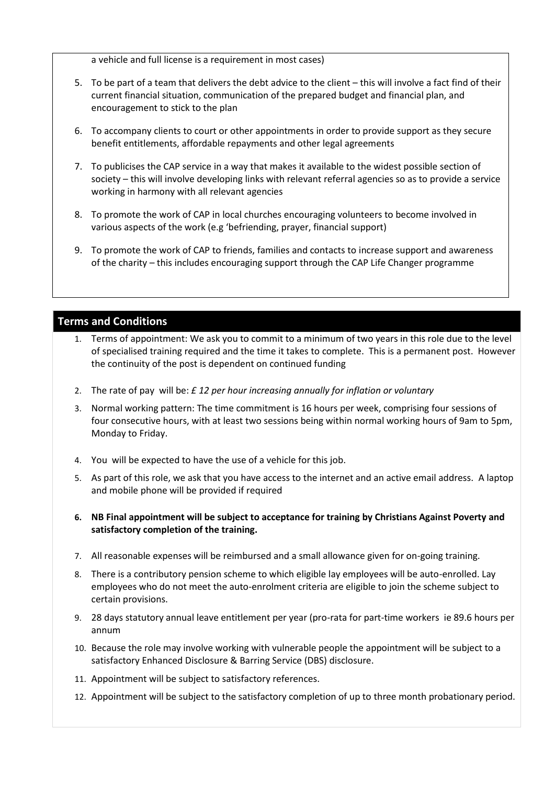a vehicle and full license is a requirement in most cases)

- 5. To be part of a team that delivers the debt advice to the client this will involve a fact find of their current financial situation, communication of the prepared budget and financial plan, and encouragement to stick to the plan
- 6. To accompany clients to court or other appointments in order to provide support as they secure benefit entitlements, affordable repayments and other legal agreements
- 7. To publicises the CAP service in a way that makes it available to the widest possible section of society – this will involve developing links with relevant referral agencies so as to provide a service working in harmony with all relevant agencies
- 8. To promote the work of CAP in local churches encouraging volunteers to become involved in various aspects of the work (e.g 'befriending, prayer, financial support)
- 9. To promote the work of CAP to friends, families and contacts to increase support and awareness of the charity – this includes encouraging support through the CAP Life Changer programme

## **Terms and Conditions**

- 1. Terms of appointment: We ask you to commit to a minimum of two years in this role due to the level of specialised training required and the time it takes to complete. This is a permanent post. However the continuity of the post is dependent on continued funding
- 2. The rate of pay will be: *£ 12 per hour increasing annually for inflation or voluntary*
- 3. Normal working pattern: The time commitment is 16 hours per week, comprising four sessions of four consecutive hours, with at least two sessions being within normal working hours of 9am to 5pm, Monday to Friday.
- 4. You will be expected to have the use of a vehicle for this job.
- 5. As part of this role, we ask that you have access to the internet and an active email address. A laptop and mobile phone will be provided if required
- **6. NB Final appointment will be subject to acceptance for training by Christians Against Poverty and satisfactory completion of the training.**
- 7. All reasonable expenses will be reimbursed and a small allowance given for on-going training.
- 8. There is a contributory pension scheme to which eligible lay employees will be auto-enrolled. Lay employees who do not meet the auto-enrolment criteria are eligible to join the scheme subject to certain provisions.
- 9. 28 days statutory annual leave entitlement per year (pro-rata for part-time workers ie 89.6 hours per annum
- 10. Because the role may involve working with vulnerable people the appointment will be subject to a satisfactory Enhanced Disclosure & Barring Service (DBS) disclosure.
- 11. Appointment will be subject to satisfactory references.
- 12. Appointment will be subject to the satisfactory completion of up to three month probationary period.